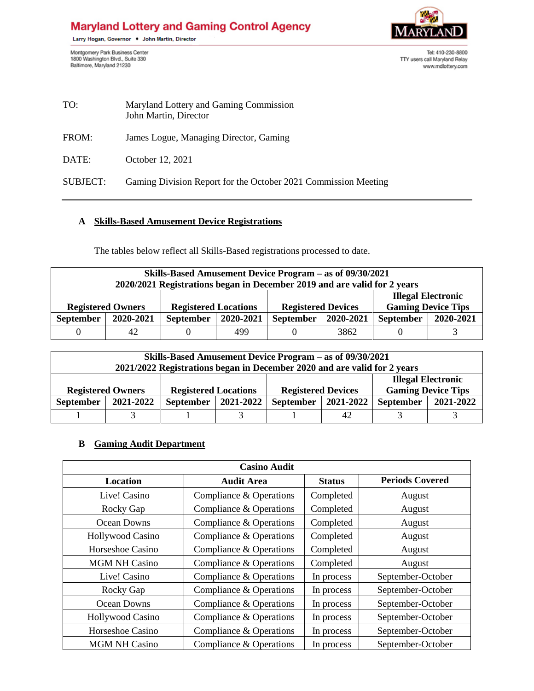# **Maryland Lottery and Gaming Control Agency**

Larry Hogan, Governor . John Martin, Director

Montgomery Park Business Center<br>1800 Washington Blvd., Suite 330<br>Baltimore, Maryland 21230



Tel: 410-230-8800 TTY users call Maryland Relay www.mdlottery.com

| TO: | Maryland Lottery and Gaming Commission |
|-----|----------------------------------------|
|     | John Martin, Director                  |
|     |                                        |

- FROM: James Logue, Managing Director, Gaming
- DATE: October 12, 2021

SUBJECT: Gaming Division Report for the October 2021 Commission Meeting

### **A Skills-Based Amusement Device Registrations**

The tables below reflect all Skills-Based registrations processed to date.

| Skills-Based Amusement Device Program – as of 09/30/2021<br>2020/2021 Registrations began in December 2019 and are valid for 2 years           |           |                  |           |                  |           |                  |           |  |
|------------------------------------------------------------------------------------------------------------------------------------------------|-----------|------------------|-----------|------------------|-----------|------------------|-----------|--|
| <b>Illegal Electronic</b><br><b>Gaming Device Tips</b><br><b>Registered Devices</b><br><b>Registered Locations</b><br><b>Registered Owners</b> |           |                  |           |                  |           |                  |           |  |
| <b>September</b>                                                                                                                               | 2020-2021 | <b>September</b> | 2020-2021 | <b>September</b> | 2020-2021 | <b>September</b> | 2020-2021 |  |
|                                                                                                                                                | 42        |                  | 499       |                  | 3862      |                  |           |  |

| Skills-Based Amusement Device Program – as of 09/30/2021<br>2021/2022 Registrations began in December 2020 and are valid for 2 years |           |                             |           |                           |           |                                                        |           |
|--------------------------------------------------------------------------------------------------------------------------------------|-----------|-----------------------------|-----------|---------------------------|-----------|--------------------------------------------------------|-----------|
| <b>Registered Owners</b>                                                                                                             |           | <b>Registered Locations</b> |           | <b>Registered Devices</b> |           | <b>Illegal Electronic</b><br><b>Gaming Device Tips</b> |           |
| <b>September</b>                                                                                                                     | 2021-2022 | September                   | 2021-2022 | <b>September</b>          | 2021-2022 | <b>September</b>                                       | 2021-2022 |
|                                                                                                                                      |           |                             |           |                           | 42        |                                                        |           |

## **B Gaming Audit Department**

| <b>Casino Audit</b>  |                         |               |                        |  |  |  |
|----------------------|-------------------------|---------------|------------------------|--|--|--|
| Location             | <b>Audit Area</b>       | <b>Status</b> | <b>Periods Covered</b> |  |  |  |
| Live! Casino         | Compliance & Operations | Completed     | August                 |  |  |  |
| Rocky Gap            | Compliance & Operations | Completed     | August                 |  |  |  |
| Ocean Downs          | Compliance & Operations | Completed     | August                 |  |  |  |
| Hollywood Casino     | Compliance & Operations | Completed     | August                 |  |  |  |
| Horseshoe Casino     | Compliance & Operations | Completed     | August                 |  |  |  |
| <b>MGM NH Casino</b> | Compliance & Operations | Completed     | August                 |  |  |  |
| Live! Casino         | Compliance & Operations | In process    | September-October      |  |  |  |
| Rocky Gap            | Compliance & Operations | In process    | September-October      |  |  |  |
| Ocean Downs          | Compliance & Operations | In process    | September-October      |  |  |  |
| Hollywood Casino     | Compliance & Operations | In process    | September-October      |  |  |  |
| Horseshoe Casino     | Compliance & Operations | In process    | September-October      |  |  |  |
| <b>MGM NH Casino</b> | Compliance & Operations | In process    | September-October      |  |  |  |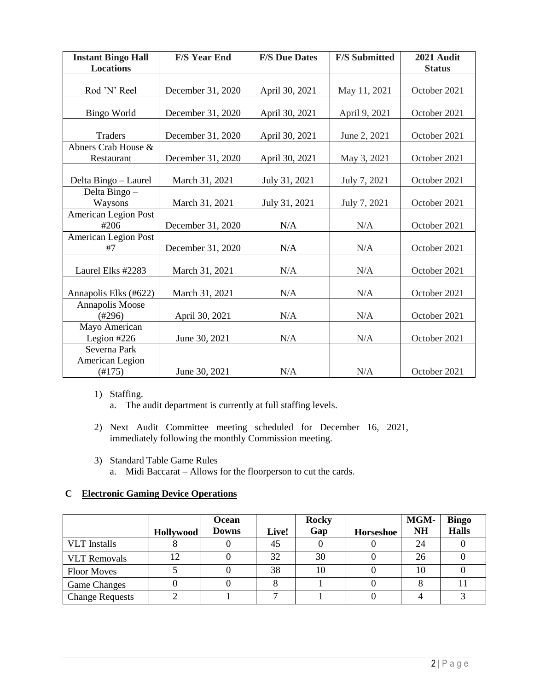| <b>Instant Bingo Hall</b><br><b>Locations</b> | <b>F/S Year End</b> | <b>F/S Due Dates</b> | <b>F/S Submitted</b> | 2021 Audit<br><b>Status</b> |  |
|-----------------------------------------------|---------------------|----------------------|----------------------|-----------------------------|--|
|                                               |                     |                      |                      |                             |  |
| Rod 'N' Reel                                  | December 31, 2020   | April 30, 2021       | May 11, 2021         | October 2021                |  |
|                                               |                     |                      |                      |                             |  |
| <b>Bingo World</b>                            | December 31, 2020   | April 30, 2021       | April 9, 2021        | October 2021                |  |
|                                               |                     |                      |                      |                             |  |
| Traders                                       | December 31, 2020   | April 30, 2021       | June 2, 2021         | October 2021                |  |
| Abners Crab House &                           |                     |                      |                      |                             |  |
| Restaurant                                    | December 31, 2020   | April 30, 2021       | May 3, 2021          | October 2021                |  |
|                                               |                     |                      |                      |                             |  |
| Delta Bingo - Laurel                          | March 31, 2021      | July 31, 2021        | July 7, 2021         | October 2021                |  |
| Delta Bingo -                                 |                     |                      |                      |                             |  |
| Waysons                                       | March 31, 2021      | July 31, 2021        | July 7, 2021         | October 2021                |  |
| <b>American Legion Post</b>                   |                     |                      |                      |                             |  |
| #206                                          | December 31, 2020   | N/A                  | N/A                  | October 2021                |  |
| American Legion Post                          |                     |                      |                      |                             |  |
| #7                                            | December 31, 2020   | N/A                  | N/A                  | October 2021                |  |
|                                               |                     |                      |                      |                             |  |
| Laurel Elks #2283                             | March 31, 2021      | N/A                  | N/A                  | October 2021                |  |
|                                               |                     |                      |                      |                             |  |
| Annapolis Elks (#622)                         | March 31, 2021      | N/A                  | N/A                  | October 2021                |  |
| Annapolis Moose                               |                     |                      |                      |                             |  |
| $(\#296)$                                     | April 30, 2021      | N/A                  | N/A                  | October 2021                |  |
| Mayo American                                 |                     |                      |                      |                             |  |
| Legion $#226$                                 | June 30, 2021       | N/A                  | N/A                  | October 2021                |  |
| Severna Park                                  |                     |                      |                      |                             |  |
| American Legion                               |                     |                      |                      |                             |  |
| $(\#175)$                                     | June 30, 2021       | N/A                  | N/A                  | October 2021                |  |

- 1) Staffing.
	- a. The audit department is currently at full staffing levels.
- 2) Next Audit Committee meeting scheduled for December 16, 2021, immediately following the monthly Commission meeting.
- 3) Standard Table Game Rules a. Midi Baccarat – Allows for the floorperson to cut the cards.

# **C Electronic Gaming Device Operations**

|                        | Hollywood | Ocean<br><b>Downs</b> | Live! | <b>Rocky</b><br>Gap | <b>Horseshoe</b> | MGM-<br><b>NH</b> | <b>Bingo</b><br><b>Halls</b> |
|------------------------|-----------|-----------------------|-------|---------------------|------------------|-------------------|------------------------------|
| <b>VLT</b> Installs    |           |                       | 45    |                     |                  | 24                |                              |
| <b>VLT</b> Removals    |           |                       | 32    | 30                  |                  | 26                |                              |
| <b>Floor Moves</b>     |           |                       | 38    | 10                  |                  | 10                |                              |
| <b>Game Changes</b>    |           |                       |       |                     |                  |                   |                              |
| <b>Change Requests</b> |           |                       |       |                     |                  |                   |                              |